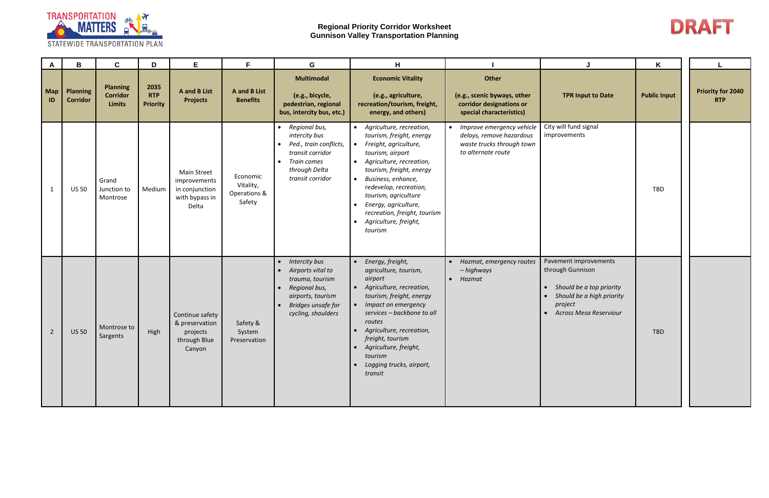

| $\mathsf{A}$   | B                                  | C                                            | D                                     | E.                                                                              | F.                                              | G                                                                                                                                                           | H                                                                                                                                                                                                                                                                                                                                 |                                                                                                            | J                                                                                                                                                           | Κ                   |                                        |
|----------------|------------------------------------|----------------------------------------------|---------------------------------------|---------------------------------------------------------------------------------|-------------------------------------------------|-------------------------------------------------------------------------------------------------------------------------------------------------------------|-----------------------------------------------------------------------------------------------------------------------------------------------------------------------------------------------------------------------------------------------------------------------------------------------------------------------------------|------------------------------------------------------------------------------------------------------------|-------------------------------------------------------------------------------------------------------------------------------------------------------------|---------------------|----------------------------------------|
| Map<br>ID      | <b>Planning</b><br><b>Corridor</b> | <b>Planning</b><br><b>Corridor</b><br>Limits | 2035<br><b>RTP</b><br><b>Priority</b> | <b>A</b> and <b>B</b> List<br><b>Projects</b>                                   | <b>A</b> and <b>B</b> List<br><b>Benefits</b>   | <b>Multimodal</b><br>(e.g., bicycle,<br>pedestrian, regional<br>bus, intercity bus, etc.)                                                                   | <b>Economic Vitality</b><br>(e.g., agriculture,<br>recreation/tourism, freight,<br>energy, and others)                                                                                                                                                                                                                            | Other<br>(e.g., scenic byways, other<br>corridor designations or<br>special characteristics)               | <b>TPR Input to Date</b>                                                                                                                                    | <b>Public Input</b> | <b>Priority for 2040</b><br><b>RTP</b> |
|                | <b>US 50</b>                       | Grand<br>Junction to<br>Montrose             | Medium                                | <b>Main Street</b><br>improvements<br>in conjunction<br>with bypass in<br>Delta | Economic<br>Vitality,<br>Operations &<br>Safety | • Regional bus,<br>intercity bus<br>Ped., train conflicts,<br>transit corridor<br>Train comes<br>$\bullet$<br>through Delta<br>transit corridor             | • Agriculture, recreation,<br>tourism, freight, energy<br>Freight, agriculture,<br>tourism, airport<br>• Agriculture, recreation,<br>tourism, freight, energy<br>Business, enhance,<br>redevelop, recreation,<br>tourism, agriculture<br>Energy, agriculture,<br>recreation, freight, tourism<br>Agriculture, freight,<br>tourism | • Improve emergency vehicle<br>delays, remove hazardous<br>waste trucks through town<br>to alternate route | City will fund signal<br>improvements                                                                                                                       | <b>TBD</b>          |                                        |
| $\overline{2}$ | <b>US 50</b>                       | Montrose to<br>Sargents                      | High                                  | Continue safety<br>& preservation<br>projects<br>through Blue<br>Canyon         | Safety &<br>System<br>Preservation              | <b>Intercity bus</b><br>$\bullet$<br>Airports vital to<br>trauma, tourism<br>Regional bus,<br>airports, tourism<br>Bridges unsafe for<br>cycling, shoulders | Energy, freight,<br>agriculture, tourism,<br>airport<br>• Agriculture, recreation,<br>tourism, freight, energy<br>• Impact on emergency<br>services - backbone to all<br>routes<br>• Agriculture, recreation,<br>freight, tourism<br>• Agriculture, freight,<br>tourism<br>Logging trucks, airport,<br>transit                    | Hazmat, emergency routes<br>- highways<br>$\bullet$ Hazmat                                                 | Pavement improvements<br>through Gunnison<br>Should be a top priority<br>Should be a high priority<br>project<br><b>Across Mesa Reserviour</b><br>$\bullet$ | TBD                 |                                        |

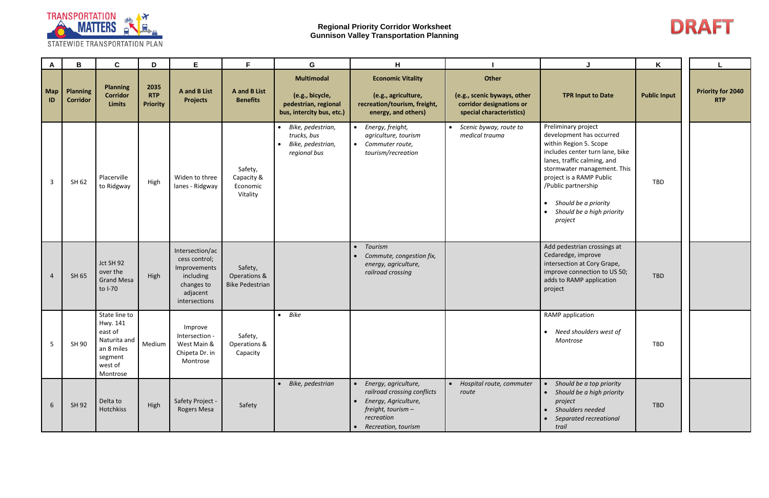

| A                | В                                  | $\mathbf{C}$                                                                                         | D                                     | Е                                                                                                        | F.                                                | G                                                                                         | н                                                                                                                                         |                                                                                              |                                                                                                                                                                                                                                                                                                              | Κ                   |                                        |
|------------------|------------------------------------|------------------------------------------------------------------------------------------------------|---------------------------------------|----------------------------------------------------------------------------------------------------------|---------------------------------------------------|-------------------------------------------------------------------------------------------|-------------------------------------------------------------------------------------------------------------------------------------------|----------------------------------------------------------------------------------------------|--------------------------------------------------------------------------------------------------------------------------------------------------------------------------------------------------------------------------------------------------------------------------------------------------------------|---------------------|----------------------------------------|
| <b>Map</b><br>ID | <b>Planning</b><br><b>Corridor</b> | <b>Planning</b><br><b>Corridor</b><br><b>Limits</b>                                                  | 2035<br><b>RTP</b><br><b>Priority</b> | <b>A</b> and <b>B</b> List<br><b>Projects</b>                                                            | <b>A</b> and <b>B</b> List<br><b>Benefits</b>     | <b>Multimodal</b><br>(e.g., bicycle,<br>pedestrian, regional<br>bus, intercity bus, etc.) | <b>Economic Vitality</b><br>(e.g., agriculture,<br>recreation/tourism, freight,<br>energy, and others)                                    | Other<br>(e.g., scenic byways, other<br>corridor designations or<br>special characteristics) | <b>TPR Input to Date</b>                                                                                                                                                                                                                                                                                     | <b>Public Input</b> | <b>Priority for 2040</b><br><b>RTP</b> |
| $\mathbf{3}$     | SH 62                              | Placerville<br>to Ridgway                                                                            | High                                  | Widen to three<br>lanes - Ridgway                                                                        | Safety,<br>Capacity &<br>Economic<br>Vitality     | • Bike, pedestrian,<br>trucks, bus<br>Bike, pedestrian,<br>$\bullet$<br>regional bus      | • Energy, freight,<br>agriculture, tourism<br>• Commuter route,<br>tourism/recreation                                                     | • Scenic byway, route to<br>medical trauma                                                   | Preliminary project<br>development has occurred<br>within Region 5. Scope<br>includes center turn lane, bike<br>lanes, traffic calming, and<br>stormwater management. This<br>project is a RAMP Public<br>/Public partnership<br>• Should be a priority<br>Should be a high priority<br>$\bullet$<br>project | TBD                 |                                        |
| $\overline{4}$   | SH 65                              | Jct SH 92<br>over the<br><b>Grand Mesa</b><br>to I-70                                                | High                                  | Intersection/ac<br>cess control;<br>Improvements<br>including<br>changes to<br>adjacent<br>intersections | Safety,<br>Operations &<br><b>Bike Pedestrian</b> |                                                                                           | Tourism<br>$\bullet$<br>Commute, congestion fix,<br>energy, agriculture,<br>railroad crossing                                             |                                                                                              | Add pedestrian crossings at<br>Cedaredge, improve<br>intersection at Cory Grape,<br>improve connection to US 50;<br>adds to RAMP application<br>project                                                                                                                                                      | TBD                 |                                        |
| 5                | SH 90                              | State line to<br>Hwy. 141<br>east of<br>Naturita and<br>an 8 miles<br>segment<br>west of<br>Montrose | Medium                                | Improve<br>Intersection -<br>West Main &<br>Chipeta Dr. in<br>Montrose                                   | Safety,<br>Operations &<br>Capacity               | $\bullet$ Bike                                                                            |                                                                                                                                           |                                                                                              | RAMP application<br>• Need shoulders west of<br>Montrose                                                                                                                                                                                                                                                     | TBD                 |                                        |
| 6                | SH 92                              | Delta to<br>Hotchkiss                                                                                | High                                  | Safety Project -<br>Rogers Mesa                                                                          | Safety                                            | • Bike, pedestrian                                                                        | • Energy, agriculture,<br>railroad crossing conflicts<br>Energy, Agriculture,<br>freight, tourism-<br>recreation<br>• Recreation, tourism | • Hospital route, commuter<br>route                                                          | Should be a top priority<br>Should be a high priority<br>project<br>Shoulders needed<br>Separated recreational<br>trail                                                                                                                                                                                      | TBD                 |                                        |

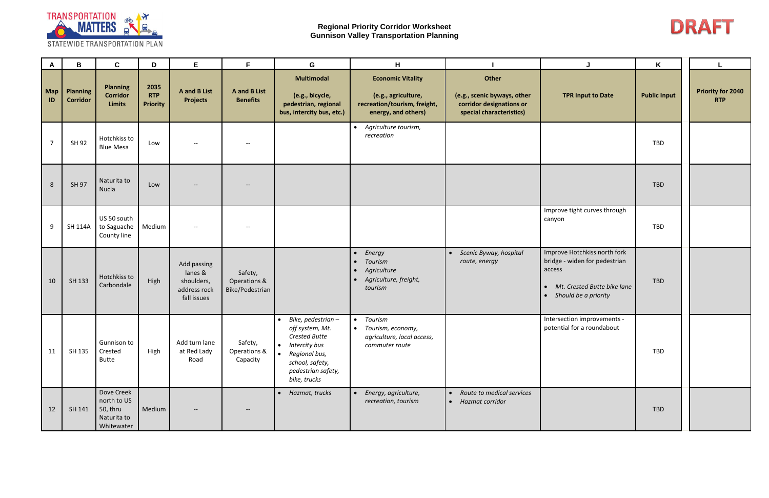

| A                | В                                  | $\mathbf{C}$                                                       | D                                     | E                                                                   | F.                                            | G                                                                                                                                                                      | н                                                                                                      |                                                                                              |                                                                                                                                                          | Κ                   |                                        |
|------------------|------------------------------------|--------------------------------------------------------------------|---------------------------------------|---------------------------------------------------------------------|-----------------------------------------------|------------------------------------------------------------------------------------------------------------------------------------------------------------------------|--------------------------------------------------------------------------------------------------------|----------------------------------------------------------------------------------------------|----------------------------------------------------------------------------------------------------------------------------------------------------------|---------------------|----------------------------------------|
| <b>Map</b><br>ID | <b>Planning</b><br><b>Corridor</b> | <b>Planning</b><br><b>Corridor</b><br><b>Limits</b>                | 2035<br><b>RTP</b><br><b>Priority</b> | <b>A</b> and <b>B</b> List<br><b>Projects</b>                       | <b>A</b> and <b>B</b> List<br><b>Benefits</b> | <b>Multimodal</b><br>(e.g., bicycle,<br>pedestrian, regional<br>bus, intercity bus, etc.)                                                                              | <b>Economic Vitality</b><br>(e.g., agriculture,<br>recreation/tourism, freight,<br>energy, and others) | Other<br>(e.g., scenic byways, other<br>corridor designations or<br>special characteristics) | <b>TPR Input to Date</b>                                                                                                                                 | <b>Public Input</b> | <b>Priority for 2040</b><br><b>RTP</b> |
| $\overline{7}$   | SH 92                              | Hotchkiss to<br><b>Blue Mesa</b>                                   | Low                                   |                                                                     | $--$                                          |                                                                                                                                                                        | • Agriculture tourism,<br>recreation                                                                   |                                                                                              |                                                                                                                                                          | TBD                 |                                        |
| 8                | SH 97                              | Naturita to<br>Nucla                                               | Low                                   |                                                                     | $\hspace{0.05cm} \textbf{--}$                 |                                                                                                                                                                        |                                                                                                        |                                                                                              |                                                                                                                                                          | TBD                 |                                        |
| 9                | <b>SH 114A</b>                     | US 50 south<br>to Saguache<br>County line                          | Medium                                | $- -$                                                               | $--$                                          |                                                                                                                                                                        |                                                                                                        |                                                                                              | Improve tight curves through<br>canyon                                                                                                                   | TBD                 |                                        |
| 10               | SH 133                             | Hotchkiss to<br>Carbondale                                         | High                                  | Add passing<br>lanes &<br>shoulders,<br>address rock<br>fall issues | Safety,<br>Operations &<br>Bike/Pedestrian    |                                                                                                                                                                        | Energy<br>Tourism<br>Agriculture<br>$\bullet$<br>· Agriculture, freight,<br>tourism                    | Scenic Byway, hospital<br>$\bullet$<br>route, energy                                         | Improve Hotchkiss north fork<br>bridge - widen for pedestrian<br>access<br>Mt. Crested Butte bike lane<br>$\bullet$<br>Should be a priority<br>$\bullet$ | TBD                 |                                        |
| 11               | SH 135                             | Gunnison to<br>Crested<br><b>Butte</b>                             | High                                  | Add turn lane<br>at Red Lady<br>Road                                | Safety,<br>Operations &<br>Capacity           | $\bullet$ Bike, pedestrian -<br>off system, Mt.<br><b>Crested Butte</b><br>• Intercity bus<br>• Regional bus,<br>school, safety,<br>pedestrian safety,<br>bike, trucks | • Tourism<br>• Tourism, economy,<br>agriculture, local access,<br>commuter route                       |                                                                                              | Intersection improvements -<br>potential for a roundabout                                                                                                | TBD                 |                                        |
| 12               | SH 141                             | Dove Creek<br>north to US<br>50, thru<br>Naturita to<br>Whitewater | Medium                                | $\qquad \qquad -$                                                   | $--$                                          | Hazmat, trucks<br>$\bullet$                                                                                                                                            | Energy, agriculture,<br>recreation, tourism                                                            | Route to medical services<br>Hazmat corridor<br>$\bullet$                                    |                                                                                                                                                          | TBD                 |                                        |

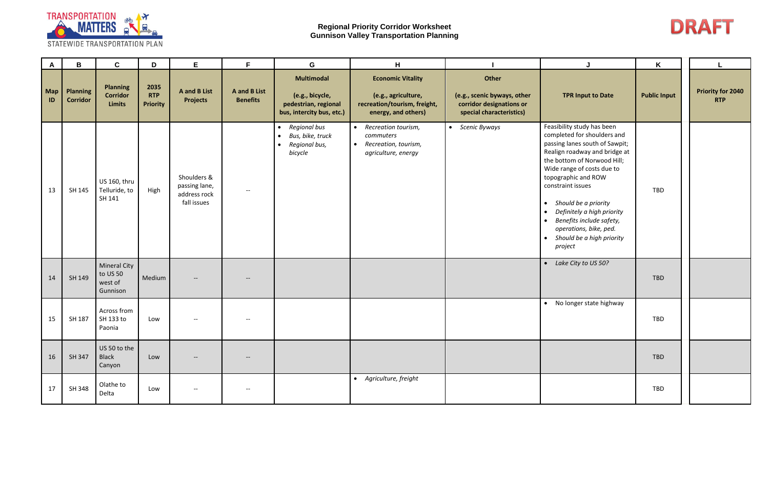

| $\mathsf{A}$ | B                                  | $\mathbf{C}$                                    | D                                     | E                                                           | F.                                            | G                                                                                         | H                                                                                                      |                                                                                              | J                                                                                                                                                                                                                                                                                                                                                                                                                       | Κ                   |                                        |
|--------------|------------------------------------|-------------------------------------------------|---------------------------------------|-------------------------------------------------------------|-----------------------------------------------|-------------------------------------------------------------------------------------------|--------------------------------------------------------------------------------------------------------|----------------------------------------------------------------------------------------------|-------------------------------------------------------------------------------------------------------------------------------------------------------------------------------------------------------------------------------------------------------------------------------------------------------------------------------------------------------------------------------------------------------------------------|---------------------|----------------------------------------|
| Map<br>ID    | <b>Planning</b><br><b>Corridor</b> | <b>Planning</b><br><b>Corridor</b><br>Limits    | 2035<br><b>RTP</b><br><b>Priority</b> | <b>A</b> and <b>B</b> List<br><b>Projects</b>               | <b>A</b> and <b>B</b> List<br><b>Benefits</b> | <b>Multimodal</b><br>(e.g., bicycle,<br>pedestrian, regional<br>bus, intercity bus, etc.) | <b>Economic Vitality</b><br>(e.g., agriculture,<br>recreation/tourism, freight,<br>energy, and others) | Other<br>(e.g., scenic byways, other<br>corridor designations or<br>special characteristics) | <b>TPR Input to Date</b>                                                                                                                                                                                                                                                                                                                                                                                                | <b>Public Input</b> | <b>Priority for 2040</b><br><b>RTP</b> |
| 13           | SH 145                             | US 160, thru<br>Telluride, to<br>SH 141         | High                                  | Shoulders &<br>passing lane,<br>address rock<br>fall issues | $- -$                                         | • Regional bus<br>• Bus, bike, truck<br>• Regional bus,<br>bicycle                        | • Recreation tourism,<br>commuters<br>• Recreation, tourism,<br>agriculture, energy                    | • Scenic Byways                                                                              | Feasibility study has been<br>completed for shoulders and<br>passing lanes south of Sawpit;<br>Realign roadway and bridge at<br>the bottom of Norwood Hill;<br>Wide range of costs due to<br>topographic and ROW<br>constraint issues<br>• Should be a priority<br>Definitely a high priority<br>$\bullet$<br>Benefits include safety,<br>$\bullet$<br>operations, bike, ped.<br>• Should be a high priority<br>project | TBD                 |                                        |
| 14           | SH 149                             | Mineral City<br>to US 50<br>west of<br>Gunnison | Medium                                |                                                             |                                               |                                                                                           |                                                                                                        |                                                                                              | • Lake City to US 50?                                                                                                                                                                                                                                                                                                                                                                                                   | TBD                 |                                        |
| 15           | SH 187                             | Across from<br>SH 133 to<br>Paonia              | Low                                   |                                                             |                                               |                                                                                           |                                                                                                        |                                                                                              | • No longer state highway                                                                                                                                                                                                                                                                                                                                                                                               | TBD                 |                                        |
| 16           | SH 347                             | US 50 to the<br>Black<br>Canyon                 | Low                                   |                                                             | $--$                                          |                                                                                           |                                                                                                        |                                                                                              |                                                                                                                                                                                                                                                                                                                                                                                                                         | TBD                 |                                        |
| 17           | SH 348                             | Olathe to<br>Delta                              | Low                                   | $- -$                                                       | $--$                                          |                                                                                           | • Agriculture, freight                                                                                 |                                                                                              |                                                                                                                                                                                                                                                                                                                                                                                                                         | TBD                 |                                        |